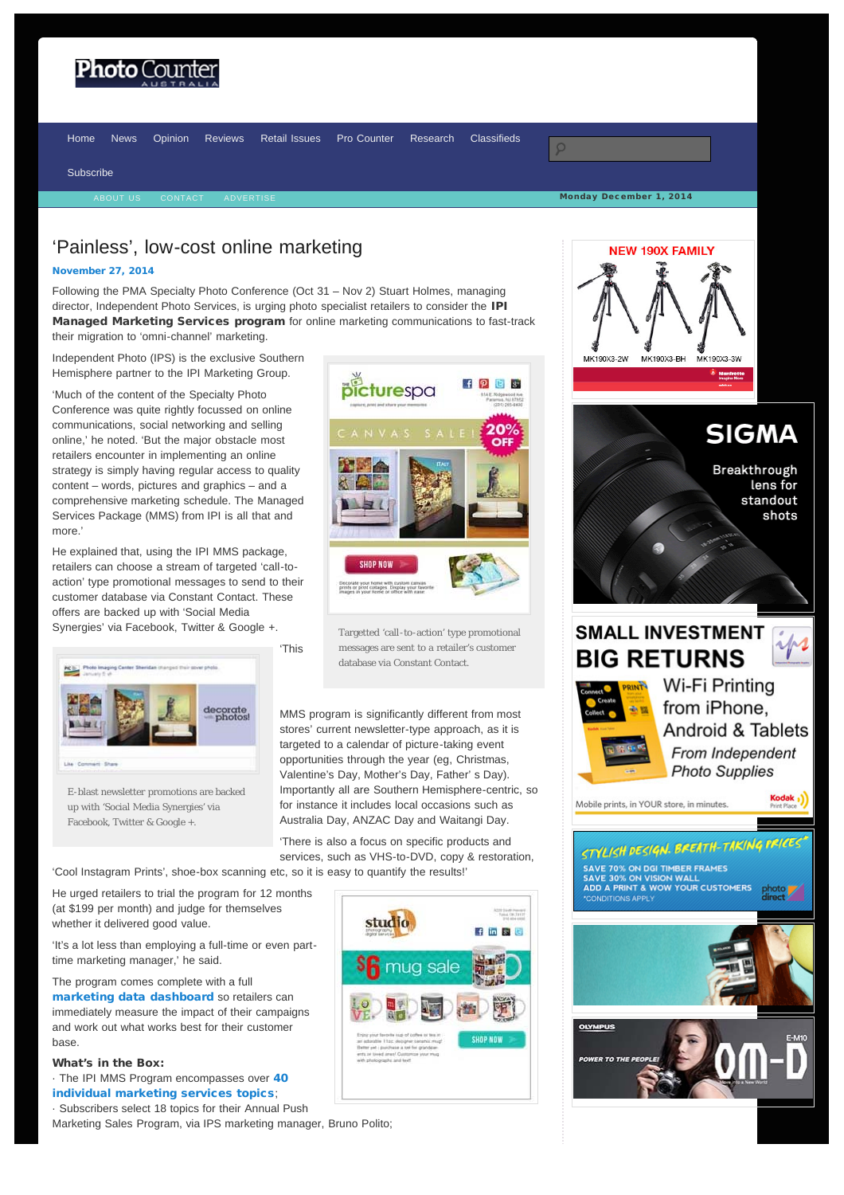# <span id="page-0-0"></span>Photo (

Monday December 1, 2014 [Home](http://www.photocounter.com.au/) [News](http://www.photocounter.com.au/category/news/) [Opinion](http://www.photocounter.com.au/category/opinion/) [Reviews](http://www.photoreview.com.au/reviews/) [Retail Issues](http://www.photocounter.com.au/category/retail-issues/) [Pro Counter](http://procounter.com.au/) [Research](http://www.photocounter.com.au/category/research/) [Classifieds](http://www.photocounter.com.au/category/classifieds/) [Subscribe](http://www.photocounter.com.au/subscribe/)

## 'Painless', low-cost online marketing

#### [November 27, 2014](#page-0-0)

Following the PMA Specialty Photo Conference (Oct 31 – Nov 2) Stuart Holmes, managing director, Independent Photo Services, is urging photo specialist retailers to consider the IPI Managed Marketing Services program for online marketing communications to fast-track their migration to 'omni-channel' marketing.

Independent Photo (IPS) is the exclusive Southern Hemisphere partner to the IPI Marketing Group.

'Much of the content of the Specialty Photo Conference was quite rightly focussed on online communications, social networking and selling online,' he noted. 'But the major obstacle most retailers encounter in implementing an online strategy is simply having regular access to quality content – words, pictures and graphics – and a comprehensive marketing schedule. The Managed Services Package (MMS) from IPI is all that and more.'

He explained that, using the IPI MMS package, retailers can choose a stream of targeted 'call-toaction' type promotional messages to send to their customer database via Constant Contact. These offers are backed up with 'Social Media Synergies' via Facebook, Twitter & Google +.



Targetted 'call-to-action' type promotional messages are sent to a retailer's customer database via Constant Contact.



E-blast newsletter promotions are backed up with 'Social Media Synergies' via Facebook, Twitter & Google +.

MMS program is significantly different from most stores' current newsletter-type approach, as it is targeted to a calendar of picture-taking event opportunities through the year (eg, Christmas, Valentine's Day, Mother's Day, Father' s Day). Importantly all are Southern Hemisphere-centric, so for instance it includes local occasions such as Australia Day, ANZAC Day and Waitangi Day.

'There is also a focus on specific products and services, such as VHS-to-DVD, copy & restoration,

'Cool Instagram Prints', shoe-box scanning etc, so it is easy to quantify the results!'

He urged retailers to trial the program for 12 months (at \$199 per month) and judge for themselves whether it delivered good value.

'It's a lot less than employing a full-time or even parttime marketing manager,' he said.

The program comes complete with a full [marketing data dashboard](http://www.photocounter.com.au/wp-content/uploads/2014/11/social-media-dashboard.jpg) so retailers can immediately measure the impact of their campaigns and work out what works best for their customer base.

#### What's in the Box:

- · The IPI MMS Program encompasses over [40](http://www.photocounter.com.au/wp-content/uploads/2014/11/IPS_AUS-2014-15-EMAIL-SCHEDULE.jpg) [individual marketing services topics](http://www.photocounter.com.au/wp-content/uploads/2014/11/IPS_AUS-2014-15-EMAIL-SCHEDULE.jpg);
- · Subscribers select 18 topics for their Annual Push

Marketing Sales Program, via IPS marketing manager, Bruno Polito;